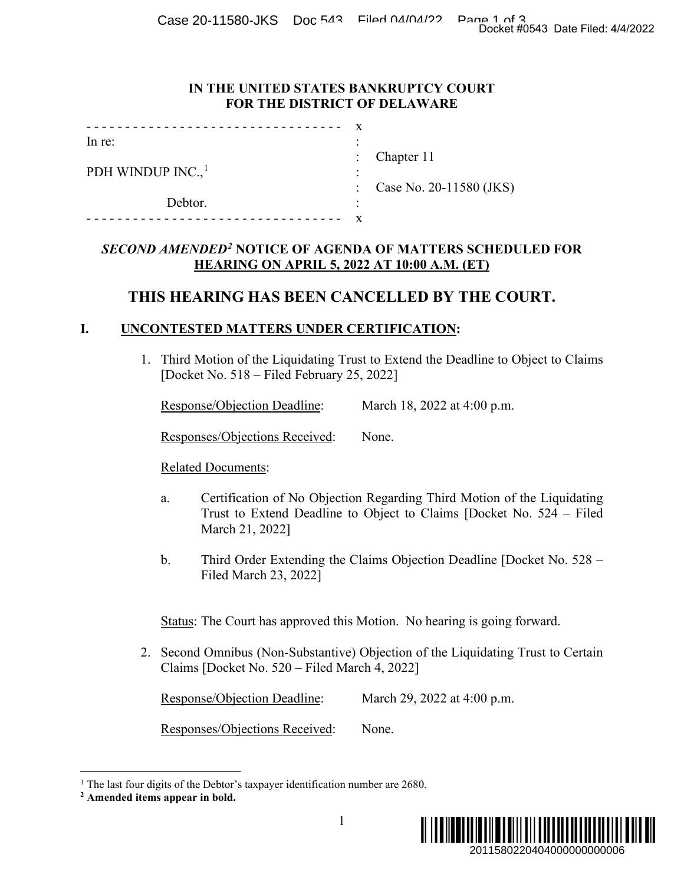Case 20-11580-JKS Doc 543 Filed 04/04/22 Page 1 of 3<br>Docket #0543 Date Filed: 4/4/2022

#### **IN THE UNITED STATES BANKRUPTCY COURT FOR THE DISTRICT OF DELAWARE**

| .                             |           |                           |
|-------------------------------|-----------|---------------------------|
| In re:                        | $\bullet$ |                           |
|                               |           | : Chapter $11$            |
| PDH WINDUP INC., <sup>1</sup> | $\bullet$ |                           |
|                               |           | : Case No. 20-11580 (JKS) |
| Debtor.                       | ٠         |                           |
|                               |           |                           |

### *SECOND AMENDED[2](#page-0-1)* **NOTICE OF AGENDA OF MATTERS SCHEDULED FOR HEARING ON APRIL 5, 2022 AT 10:00 A.M. (ET)**

# **THIS HEARING HAS BEEN CANCELLED BY THE COURT.**

### **I. UNCONTESTED MATTERS UNDER CERTIFICATION:**

1. Third Motion of the Liquidating Trust to Extend the Deadline to Object to Claims [Docket No. 518 – Filed February 25, 2022]

|  | <b>Response/Objection Deadline:</b> | March 18, 2022 at 4:00 p.m. |  |
|--|-------------------------------------|-----------------------------|--|
|  |                                     |                             |  |

Responses/Objections Received: None.

Related Documents:

- a. Certification of No Objection Regarding Third Motion of the Liquidating Trust to Extend Deadline to Object to Claims [Docket No. 524 – Filed March 21, 2022]
- b. Third Order Extending the Claims Objection Deadline [Docket No. 528 Filed March 23, 2022]

Status: The Court has approved this Motion. No hearing is going forward.

2. Second Omnibus (Non-Substantive) Objection of the Liquidating Trust to Certain Claims [Docket No. 520 – Filed March 4, 2022]

Response/Objection Deadline: March 29, 2022 at 4:00 p.m.

Responses/Objections Received: None.



<span id="page-0-0"></span><sup>&</sup>lt;sup>1</sup> The last four digits of the Debtor's taxpayer identification number are 2680.

<span id="page-0-1"></span>**<sup>2</sup> Amended items appear in bold.**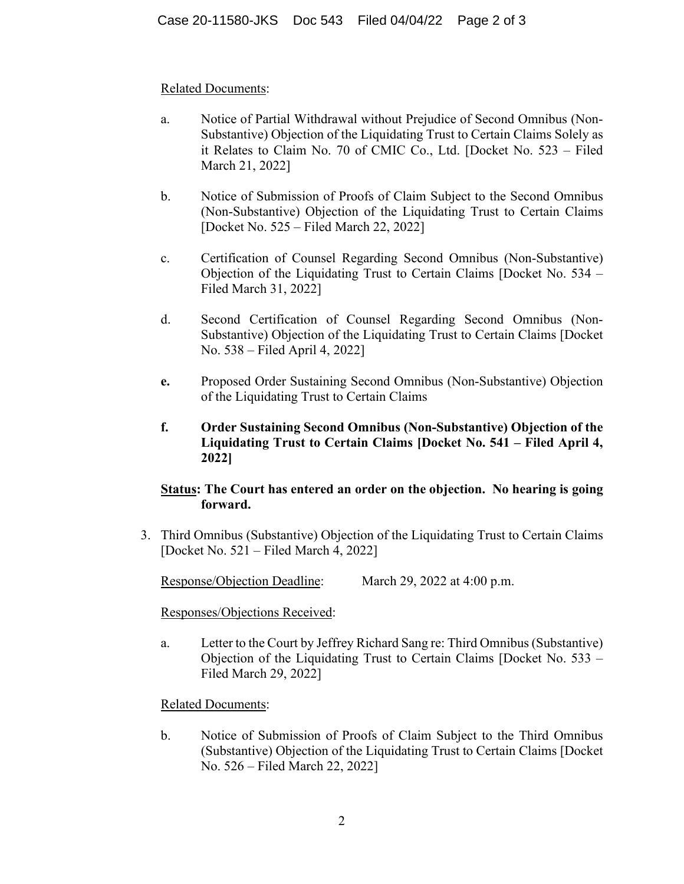### Related Documents:

- a. Notice of Partial Withdrawal without Prejudice of Second Omnibus (Non-Substantive) Objection of the Liquidating Trust to Certain Claims Solely as it Relates to Claim No. 70 of CMIC Co., Ltd. [Docket No. 523 – Filed March 21, 2022]
- b. Notice of Submission of Proofs of Claim Subject to the Second Omnibus (Non-Substantive) Objection of the Liquidating Trust to Certain Claims [Docket No. 525 – Filed March 22, 2022]
- c. Certification of Counsel Regarding Second Omnibus (Non-Substantive) Objection of the Liquidating Trust to Certain Claims [Docket No. 534 – Filed March 31, 2022]
- d. Second Certification of Counsel Regarding Second Omnibus (Non-Substantive) Objection of the Liquidating Trust to Certain Claims [Docket No. 538 – Filed April 4, 2022]
- **e.** Proposed Order Sustaining Second Omnibus (Non-Substantive) Objection of the Liquidating Trust to Certain Claims
- **f. Order Sustaining Second Omnibus (Non-Substantive) Objection of the Liquidating Trust to Certain Claims [Docket No. 541 – Filed April 4, 2022]**

# **Status: The Court has entered an order on the objection. No hearing is going forward.**

3. Third Omnibus (Substantive) Objection of the Liquidating Trust to Certain Claims [Docket No. 521 – Filed March 4, 2022]

Response/Objection Deadline: March 29, 2022 at 4:00 p.m.

Responses/Objections Received:

a. Letter to the Court by Jeffrey Richard Sang re: Third Omnibus (Substantive) Objection of the Liquidating Trust to Certain Claims [Docket No. 533 – Filed March 29, 2022]

#### Related Documents:

b. Notice of Submission of Proofs of Claim Subject to the Third Omnibus (Substantive) Objection of the Liquidating Trust to Certain Claims [Docket No. 526 – Filed March 22, 2022]